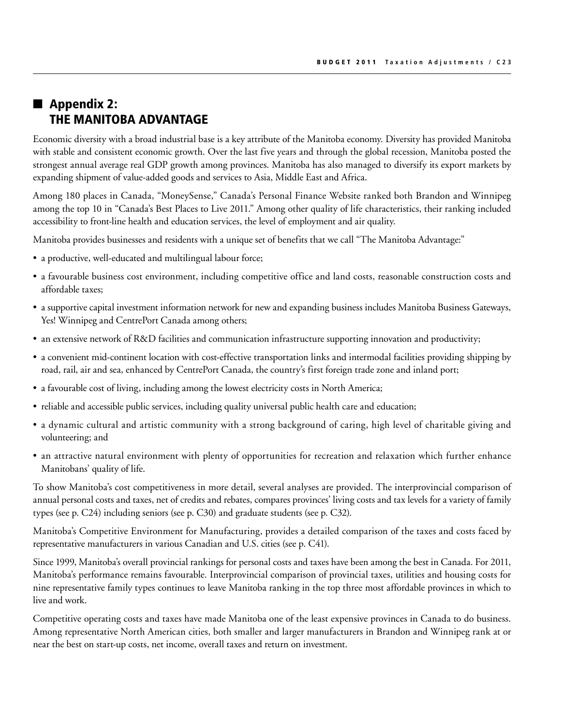# $\blacksquare$  Appendix 2: The Manitoba Advantage

Economic diversity with a broad industrial base is a key attribute of the Manitoba economy. Diversity has provided Manitoba with stable and consistent economic growth. Over the last five years and through the global recession, Manitoba posted the strongest annual average real GDP growth among provinces. Manitoba has also managed to diversify its export markets by expanding shipment of value-added goods and services to Asia, Middle East and Africa.

Among 180 places in Canada, "MoneySense," Canada's Personal Finance Website ranked both Brandon and Winnipeg among the top 10 in "Canada's Best Places to Live 2011." Among other quality of life characteristics, their ranking included accessibility to front-line health and education services, the level of employment and air quality.

Manitoba provides businesses and residents with a unique set of benefits that we call "The Manitoba Advantage:"

- a productive, well-educated and multilingual labour force;
- • a favourable business cost environment, including competitive office and land costs, reasonable construction costs and affordable taxes;
- • a supportive capital investment information network for new and expanding business includes Manitoba Business Gateways, Yes! Winnipeg and CentrePort Canada among others;
- an extensive network of R&D facilities and communication infrastructure supporting innovation and productivity;
- a convenient mid-continent location with cost-effective transportation links and intermodal facilities providing shipping by road, rail, air and sea, enhanced by CentrePort Canada, the country's first foreign trade zone and inland port;
- a favourable cost of living, including among the lowest electricity costs in North America;
- reliable and accessible public services, including quality universal public health care and education;
- • a dynamic cultural and artistic community with a strong background of caring, high level of charitable giving and volunteering; and
- an attractive natural environment with plenty of opportunities for recreation and relaxation which further enhance Manitobans' quality of life.

To show Manitoba's cost competitiveness in more detail, several analyses are provided. The interprovincial comparison of annual personal costs and taxes, net of credits and rebates, compares provinces' living costs and tax levels for a variety of family types (see p. C24) including seniors (see p. C30) and graduate students (see p. C32).

Manitoba's Competitive Environment for Manufacturing, provides a detailed comparison of the taxes and costs faced by representative manufacturers in various Canadian and U.S. cities (see p. C41).

Since 1999, Manitoba's overall provincial rankings for personal costs and taxes have been among the best in Canada. For 2011, Manitoba's performance remains favourable. Interprovincial comparison of provincial taxes, utilities and housing costs for nine representative family types continues to leave Manitoba ranking in the top three most affordable provinces in which to live and work.

Competitive operating costs and taxes have made Manitoba one of the least expensive provinces in Canada to do business. Among representative North American cities, both smaller and larger manufacturers in Brandon and Winnipeg rank at or near the best on start-up costs, net income, overall taxes and return on investment.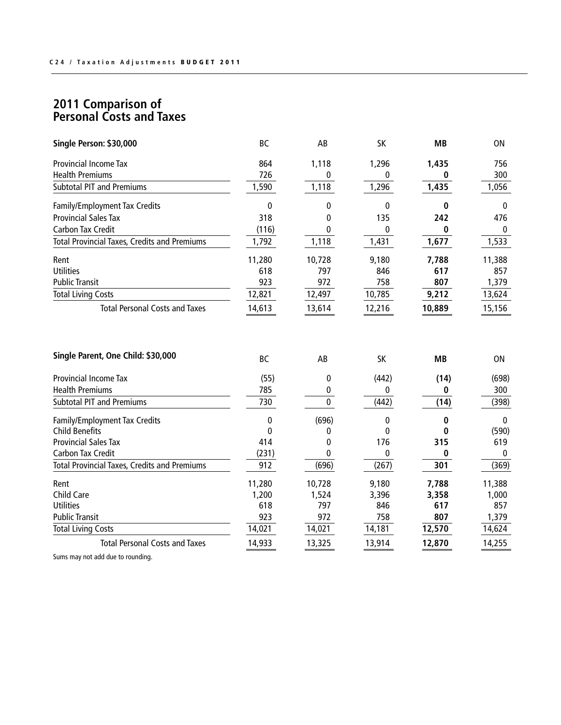| Single Person: \$30,000                                                               | BC                       | AB           | SK               | <b>MB</b>              | ON                        |
|---------------------------------------------------------------------------------------|--------------------------|--------------|------------------|------------------------|---------------------------|
| <b>Provincial Income Tax</b>                                                          | 864                      | 1,118        | 1,296            | 1,435                  | 756                       |
| <b>Health Premiums</b>                                                                | 726                      | 0            | 0                | 0                      | 300                       |
| <b>Subtotal PIT and Premiums</b>                                                      | 1,590                    | 1,118        | 1,296            | 1,435                  | 1,056                     |
| Family/Employment Tax Credits                                                         | 0                        | 0            | 0                | 0                      | 0                         |
| <b>Provincial Sales Tax</b>                                                           | 318                      | 0            | 135              | 242                    | 476                       |
| <b>Carbon Tax Credit</b>                                                              | (116)                    | 0            | 0                | 0                      | 0                         |
| <b>Total Provincial Taxes, Credits and Premiums</b>                                   | 1,792                    | 1,118        | 1,431            | 1,677                  | 1,533                     |
| Rent                                                                                  | 11,280                   | 10,728       | 9,180            | 7,788                  | 11,388                    |
| <b>Utilities</b>                                                                      | 618                      | 797          | 846              | 617                    | 857                       |
| <b>Public Transit</b>                                                                 | 923                      | 972          | 758              | 807                    | 1,379                     |
| <b>Total Living Costs</b>                                                             | 12,821                   | 12,497       | 10,785           | 9,212                  | 13,624                    |
| <b>Total Personal Costs and Taxes</b>                                                 | 14,613                   | 13,614       | 12,216           | 10,889                 | 15,156                    |
| Single Parent, One Child: \$30,000<br>Provincial Income Tax<br><b>Health Premiums</b> | <b>BC</b><br>(55)<br>785 | AB<br>0<br>0 | SK<br>(442)<br>0 | <b>MB</b><br>(14)<br>0 | <b>ON</b><br>(698)<br>300 |
| <b>Subtotal PIT and Premiums</b>                                                      | 730                      | 0            | (442)            | (14)                   | (398)                     |
|                                                                                       |                          |              |                  |                        |                           |
| Family/Employment Tax Credits<br><b>Child Benefits</b>                                | 0                        | (696)        | 0                | 0                      | 0                         |
| <b>Provincial Sales Tax</b>                                                           | 0<br>414                 | 0<br>0       | 0<br>176         | 0<br>315               | (590)<br>619              |
| <b>Carbon Tax Credit</b>                                                              | (231)                    | 0            | 0                | 0                      | $\mathbf{0}$              |
| <b>Total Provincial Taxes, Credits and Premiums</b>                                   | 912                      | (696)        | (267)            | 301                    | (369)                     |
| Rent                                                                                  | 11,280                   | 10,728       | 9,180            | 7,788                  | 11,388                    |
| <b>Child Care</b>                                                                     | 1,200                    | 1,524        | 3,396            | 3,358                  | 1,000                     |
| <b>Utilities</b>                                                                      | 618                      | 797          | 846              | 617                    | 857                       |
| <b>Public Transit</b>                                                                 | 923                      | 972          | 758              | 807                    | 1,379                     |
| <b>Total Living Costs</b>                                                             | 14,021                   | 14,021       | 14,181           | 12,570                 | 14,624                    |
| <b>Total Personal Costs and Taxes</b>                                                 | 14,933                   | 13,325       | 13,914           | 12,870                 | 14,255                    |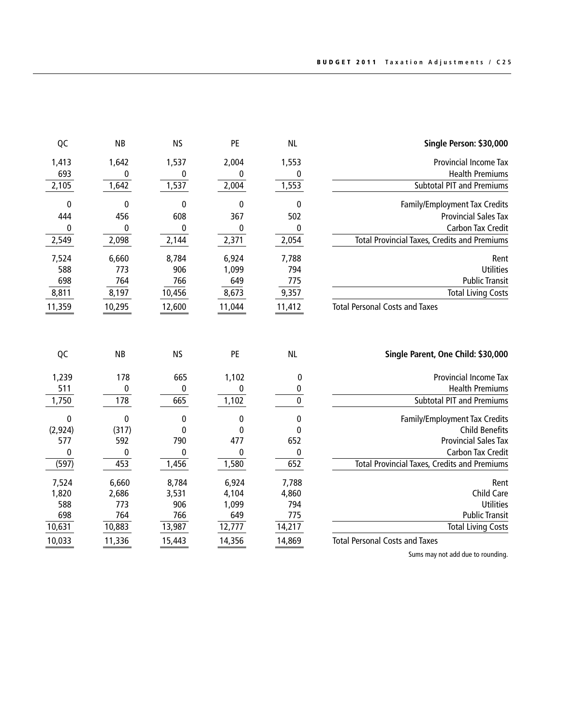| Single Person: \$30,000                             | <b>NL</b> | PE          | <b>NS</b>        | <b>NB</b>      | QC             |
|-----------------------------------------------------|-----------|-------------|------------------|----------------|----------------|
| Provincial Income Tax                               | 1,553     | 2,004       | 1,537            | 1,642          | 1,413          |
| <b>Health Premiums</b>                              | 0         | 0           | 0                | 0              | 693            |
| <b>Subtotal PIT and Premiums</b>                    | 1,553     | 2,004       | 1,537            | 1,642          | 2,105          |
| Family/Employment Tax Credits                       | 0         | 0           | 0                | 0              | 0              |
| <b>Provincial Sales Tax</b>                         | 502       | 367         | 608              | 456            | 444            |
| Carbon Tax Credit                                   | 0         | $\mathbf 0$ | 0                | 0              | 0              |
| <b>Total Provincial Taxes, Credits and Premiums</b> | 2,054     | 2,371       | 2,144            | 2,098          | 2,549          |
| Rent                                                | 7,788     | 6,924       | 8,784            | 6,660          | 7,524          |
| <b>Utilities</b>                                    | 794       | 1,099       | 906              | 773            | 588            |
| <b>Public Transit</b>                               | 775       | 649         | 766              | 764            | 698            |
| <b>Total Living Costs</b>                           | 9,357     | 8,673       | 10,456           | 8,197          | 8,811          |
| <b>Total Personal Costs and Taxes</b>               | 11,412    | 11,044      | 12,600           | 10,295         | 11,359         |
| Single Parent, One Child: \$30,000                  | <b>NL</b> | PE          | <b>NS</b>        | <b>NB</b>      | QC             |
|                                                     |           |             |                  |                | 1,239          |
|                                                     |           |             |                  |                |                |
| Provincial Income Tax<br><b>Health Premiums</b>     | 0<br>0    | 1,102<br>0  | 665<br>$\bf{0}$  | 178            |                |
| <b>Subtotal PIT and Premiums</b>                    | $\pmb{0}$ | 1,102       | 665              | 0<br>178       | 511<br>1,750   |
| Family/Employment Tax Credits                       | 0         | $\bf{0}$    | $\boldsymbol{0}$ | $\bf{0}$       | $\bf{0}$       |
| <b>Child Benefits</b>                               | 0         | 0           | 0                | (317)          | (2, 924)       |
| <b>Provincial Sales Tax</b>                         | 652       | 477         | 790              | 592            | 577            |
| Carbon Tax Credit                                   | 0         | $\bf{0}$    | 0                | 0              | 0              |
| <b>Total Provincial Taxes, Credits and Premiums</b> | 652       | 1,580       | 1,456            | 453            | (597)          |
| Rent                                                | 7,788     | 6,924       |                  |                |                |
| Child Care                                          | 4,860     | 4,104       | 8,784<br>3,531   | 6,660<br>2,686 | 7,524<br>1,820 |
| <b>Utilities</b>                                    | 794       | 1,099       | 906              | 773            | 588            |
| <b>Public Transit</b>                               | 775       | 649         | 766              | 764            | 698            |
| <b>Total Living Costs</b>                           | 14,217    | 12,777      | 13,987           | 10,883         | 10,631         |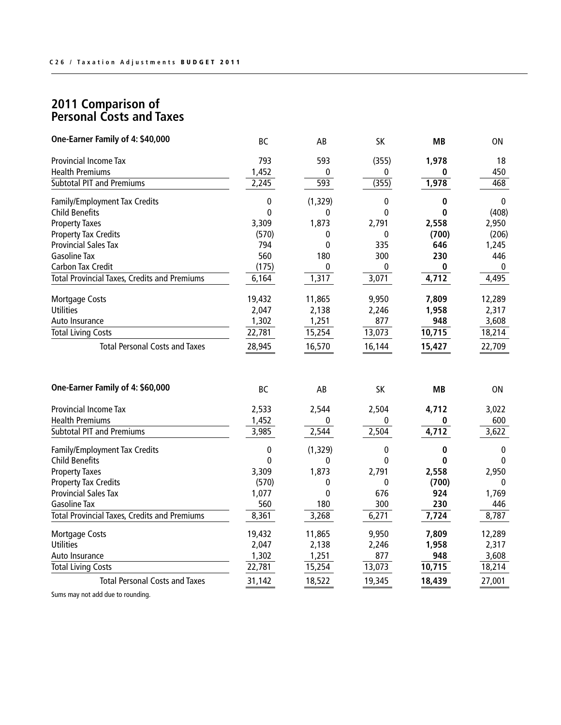| One-Earner Family of 4: \$40,000                    | <b>BC</b> | AB           | <b>SK</b>    | <b>MB</b> | ON           |
|-----------------------------------------------------|-----------|--------------|--------------|-----------|--------------|
| <b>Provincial Income Tax</b>                        | 793       | 593          | (355)        | 1,978     | 18           |
| <b>Health Premiums</b>                              | 1,452     | 0            | 0            | 0         | 450          |
| <b>Subtotal PIT and Premiums</b>                    | 2,245     | 593          | (355)        | 1,978     | 468          |
| Family/Employment Tax Credits                       | 0         | (1, 329)     | 0            | 0         | $\mathbf{0}$ |
| <b>Child Benefits</b>                               | 0         | 0            | $\mathbf 0$  | $\bf{0}$  | (408)        |
| <b>Property Taxes</b>                               | 3,309     | 1,873        | 2,791        | 2,558     | 2,950        |
| <b>Property Tax Credits</b>                         | (570)     | 0            | 0            | (700)     | (206)        |
| <b>Provincial Sales Tax</b>                         | 794       | $\mathbf{0}$ | 335          | 646       | 1,245        |
| <b>Gasoline Tax</b>                                 | 560       | 180          | 300          | 230       | 446          |
| <b>Carbon Tax Credit</b>                            | (175)     | 0            | 0            | 0         | 0            |
| <b>Total Provincial Taxes, Credits and Premiums</b> | 6,164     | 1,317        | 3,071        | 4,712     | 4,495        |
| <b>Mortgage Costs</b>                               | 19,432    | 11,865       | 9,950        | 7,809     | 12,289       |
| <b>Utilities</b>                                    | 2,047     | 2,138        | 2,246        | 1,958     | 2,317        |
| Auto Insurance                                      | 1,302     | 1,251        | 877          | 948       | 3,608        |
| <b>Total Living Costs</b>                           | 22,781    | 15,254       | 13,073       | 10,715    | 18,214       |
| <b>Total Personal Costs and Taxes</b>               | 28,945    | 16,570       | 16,144       | 15,427    | 22,709       |
| One-Earner Family of 4: \$60,000                    | BC        | AB           | <b>SK</b>    | MВ        | ΟN           |
| <b>Provincial Income Tax</b>                        | 2,533     | 2,544        | 2,504        | 4,712     | 3,022        |
| <b>Health Premiums</b>                              | 1,452     | 0            | 0            | 0         | 600          |
| <b>Subtotal PIT and Premiums</b>                    | 3,985     | 2,544        | 2,504        | 4,712     | 3,622        |
| Family/Employment Tax Credits                       | 0         | (1, 329)     | 0            | 0         | 0            |
| <b>Child Benefits</b>                               | $\Omega$  | 0            | $\mathbf{0}$ | 0         | $\Omega$     |
| <b>Property Taxes</b>                               | 3,309     | 1,873        | 2,791        | 2,558     | 2,950        |
| <b>Property Tax Credits</b>                         | (570)     | 0            | $\mathbf{0}$ | (700)     | 0            |
| <b>Provincial Sales Tax</b>                         | 1,077     | 0            | 676          | 924       | 1,769        |
| <b>Gasoline Tax</b>                                 | 560       | 180          | 300          | 230       | 446          |
| <b>Total Provincial Taxes, Credits and Premiums</b> | 8,361     | 3,268        | 6,271        | 7,724     | 8,787        |
| <b>Mortgage Costs</b>                               | 19,432    | 11,865       | 9,950        | 7,809     | 12,289       |
| <b>Utilities</b>                                    | 2,047     | 2,138        | 2,246        | 1,958     | 2,317        |
| Auto Insurance                                      | 1,302     | 1,251        | 877          | 948       | 3,608        |
| <b>Total Living Costs</b>                           | 22,781    | 15,254       | 13,073       | 10,715    | 18,214       |
| <b>Total Personal Costs and Taxes</b>               | 31,142    | 18,522       | 19,345       | 18,439    | 27,001       |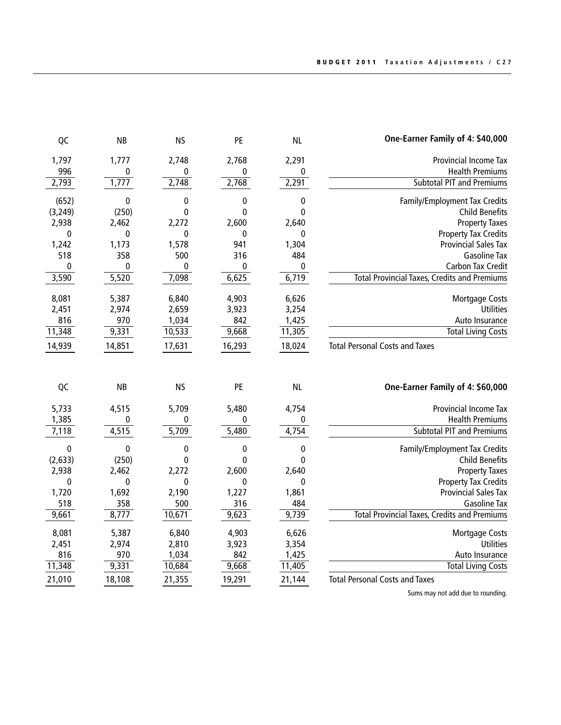| One-Earner Family of 4: \$40,000                    | <b>NL</b>        | PE           | <b>NS</b>   | <b>NB</b>    | QC             |
|-----------------------------------------------------|------------------|--------------|-------------|--------------|----------------|
| Provincial Income Tax                               | 2,291            | 2,768        | 2,748       | 1,777        | 1,797          |
| <b>Health Premiums</b>                              | 0                | 0            | 0           | 0            | 996            |
| <b>Subtotal PIT and Premiums</b>                    | 2,291            | 2,768        | 2,748       | 1,777        | 2,793          |
| Family/Employment Tax Credits                       | $\bf{0}$         | 0            | 0           | $\bf{0}$     | (652)          |
| <b>Child Benefits</b>                               | $\mathbf{0}$     | $\mathbf{0}$ | 0           | (250)        | (3, 249)       |
| <b>Property Taxes</b>                               | 2,640            | 2,600        | 2,272       | 2,462        | 2,938          |
| <b>Property Tax Credits</b>                         | 0                | 0            | $\mathbf 0$ | $\mathbf 0$  | 0              |
| <b>Provincial Sales Tax</b>                         | 1,304            | 941          | 1,578       | 1,173        | 1,242          |
| <b>Gasoline Tax</b>                                 | 484              | 316          | 500         | 358          | 518            |
| Carbon Tax Credit                                   | $\pmb{0}$        | $\pmb{0}$    | 0           | 0            | 0              |
| <b>Total Provincial Taxes, Credits and Premiums</b> | 6,719            | 6,625        | 7,098       | 5,520        | 3,590          |
| <b>Mortgage Costs</b>                               | 6,626            | 4,903        | 6,840       | 5,387        | 8,081          |
| <b>Utilities</b>                                    | 3,254            | 3,923        | 2,659       | 2,974        | 2,451          |
| Auto Insurance                                      | 1,425            | 842          | 1,034       | 970          | 816            |
| <b>Total Living Costs</b>                           | 11,305           | 9,668        | 10,533      | 9,331        | 11,348         |
| <b>Total Personal Costs and Taxes</b>               | 18,024           | 16,293       | 17,631      | 14,851       | 14,939         |
|                                                     |                  |              |             |              |                |
| One-Earner Family of 4: \$60,000                    | <b>NL</b>        | PE           | <b>NS</b>   | <b>NB</b>    | QC             |
| Provincial Income Tax                               |                  |              |             |              |                |
| <b>Health Premiums</b>                              | 4,754<br>0       | 5,480<br>0   | 5,709<br>0  | 4,515<br>0   | 5,733          |
| <b>Subtotal PIT and Premiums</b>                    | 4,754            | 5,480        | 5,709       | 4,515        | 1,385<br>7,118 |
| Family/Employment Tax Credits                       | 0                | 0            | 0           | 0            | 0              |
| <b>Child Benefits</b>                               | $\Omega$         | 0            | 0           | (250)        | (2, 633)       |
| <b>Property Taxes</b>                               | 2,640            | 2,600        | 2,272       | 2,462        | 2,938          |
| <b>Property Tax Credits</b>                         | 0                | $\mathbf{0}$ | 0           | $\mathbf{0}$ | $\bf{0}$       |
| <b>Provincial Sales Tax</b>                         | 1,861            | 1,227        | 2,190       | 1,692        | 1,720          |
| <b>Gasoline Tax</b>                                 | 484              | 316          | 500         | 358          | 518            |
| <b>Total Provincial Taxes, Credits and Premiums</b> | 9,739            | 9,623        | 10,671      | 8,777        | 9,661          |
| Mortgage Costs                                      | 6,626            | 4,903        | 6,840       | 5,387        | 8,081          |
| Utilities                                           | 3,354            | 3,923        | 2,810       | 2,974        | 2,451          |
| Auto Insurance                                      | 1,425            | 842          | 1,034       | 970          | 816            |
| <b>Total Living Costs</b>                           | 11,405<br>21,144 | 9,668        | 10,684      | 9,331        | 11,348         |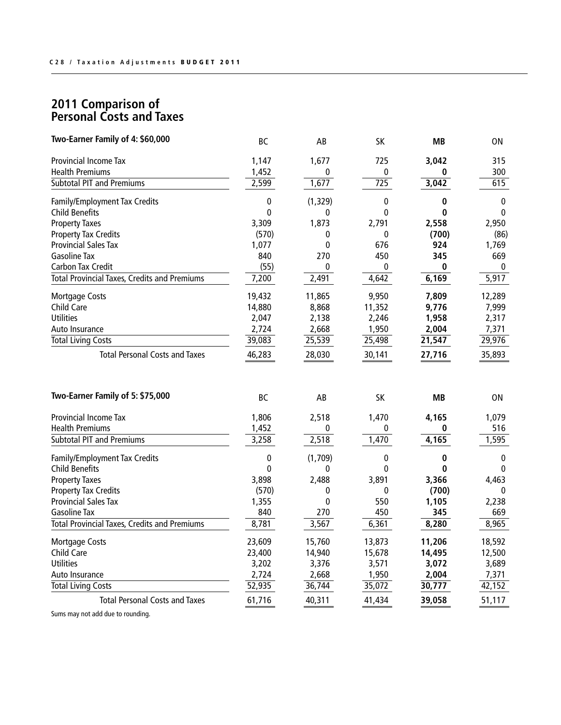| Two-Earner Family of 4: \$60,000                    | <b>BC</b> | AB        | SK               | <b>MB</b> | 0N           |
|-----------------------------------------------------|-----------|-----------|------------------|-----------|--------------|
| Provincial Income Tax                               | 1,147     | 1,677     | 725              | 3,042     | 315          |
| <b>Health Premiums</b>                              | 1,452     | 0         | 0                | 0         | 300          |
| <b>Subtotal PIT and Premiums</b>                    | 2,599     | 1,677     | $\overline{725}$ | 3,042     | 615          |
| Family/Employment Tax Credits                       | $\bf{0}$  | (1, 329)  | $\mathbf 0$      | 0         | $\pmb{0}$    |
| <b>Child Benefits</b>                               | 0         | 0         | $\mathbf 0$      | $\bf{0}$  | 0            |
| <b>Property Taxes</b>                               | 3,309     | 1,873     | 2,791            | 2,558     | 2,950        |
| <b>Property Tax Credits</b>                         | (570)     | 0         | $\mathbf{0}$     | (700)     | (86)         |
| <b>Provincial Sales Tax</b>                         | 1,077     | 0         | 676              | 924       | 1,769        |
| Gasoline Tax                                        | 840       | 270       | 450              | 345       | 669          |
| <b>Carbon Tax Credit</b>                            | (55)      | 0         | $\mathbf{0}$     | $\bf{0}$  | $\mathbf{0}$ |
| <b>Total Provincial Taxes, Credits and Premiums</b> | 7,200     | 2,491     | 4,642            | 6,169     | 5,917        |
| <b>Mortgage Costs</b>                               | 19,432    | 11,865    | 9,950            | 7,809     | 12,289       |
| Child Care                                          | 14,880    | 8,868     | 11,352           | 9,776     | 7,999        |
| <b>Utilities</b>                                    | 2,047     | 2,138     | 2,246            | 1,958     | 2,317        |
| Auto Insurance                                      | 2,724     | 2,668     | 1,950            | 2,004     | 7,371        |
| <b>Total Living Costs</b>                           | 39,083    | 25,539    | 25,498           | 21,547    | 29,976       |
| <b>Total Personal Costs and Taxes</b>               | 46,283    | 28,030    | 30,141           | 27,716    | 35,893       |
| Two-Earner Family of 5: \$75,000                    | <b>BC</b> | AB        | SK               | MВ        | 0N           |
| Provincial Income Tax                               | 1,806     | 2,518     | 1,470            | 4,165     | 1,079        |
| <b>Health Premiums</b>                              | 1,452     | 0         | 0                | 0         | 516          |
| <b>Subtotal PIT and Premiums</b>                    | 3,258     | 2,518     | 1,470            | 4,165     | 1,595        |
| Family/Employment Tax Credits                       | 0         | (1,709)   | 0                | 0         | 0            |
| <b>Child Benefits</b>                               | 0         | 0         | $\mathbf 0$      | 0         | 0            |
| <b>Property Taxes</b>                               | 3,898     | 2,488     | 3,891            | 3,366     | 4,463        |
| <b>Property Tax Credits</b>                         | (570)     | 0         | 0                | (700)     | 0            |
| <b>Provincial Sales Tax</b>                         | 1,355     | $\pmb{0}$ | 550              | 1,105     | 2,238        |
| Gasoline Tax                                        | 840       | 270       | 450              | 345       | 669          |
| <b>Total Provincial Taxes, Credits and Premiums</b> | 8,781     | 3,567     | 6,361            | 8,280     | 8,965        |
| <b>Mortgage Costs</b>                               | 23,609    | 15,760    | 13,873           | 11,206    | 18,592       |
| Child Care                                          | 23,400    | 14,940    | 15,678           | 14,495    | 12,500       |
| <b>Utilities</b>                                    | 3,202     | 3,376     | 3,571            | 3,072     | 3,689        |
| Auto Insurance                                      | 2,724     | 2,668     | 1,950            | 2,004     | 7,371        |
| <b>Total Living Costs</b>                           | 52,935    | 36,744    | 35,072           | 30,777    | 42,152       |
| <b>Total Personal Costs and Taxes</b>               | 61,716    | 40,311    | 41,434           | 39,058    | 51,117       |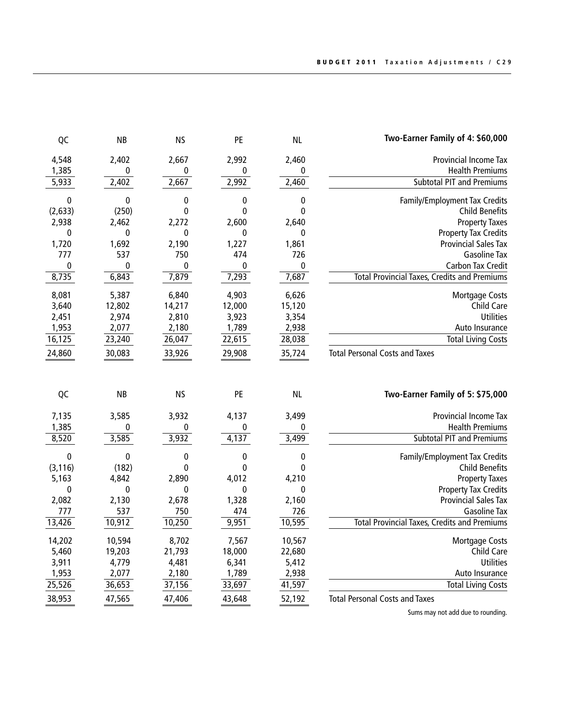| Two-Earner Family of 4: \$60,000                    | <b>NL</b>    | PE          | <b>NS</b>    | <b>NB</b>   | QC           |
|-----------------------------------------------------|--------------|-------------|--------------|-------------|--------------|
| <b>Provincial Income Tax</b>                        | 2,460        | 2,992       | 2,667        | 2,402       | 4,548        |
| <b>Health Premiums</b>                              | 0            | 0           | 0            | $\mathbf 0$ | 1,385        |
| <b>Subtotal PIT and Premiums</b>                    | 2,460        | 2,992       | 2,667        | 2,402       | 5,933        |
| Family/Employment Tax Credits                       | 0            | 0           | 0            | 0           | 0            |
| <b>Child Benefits</b>                               | $\mathbf{0}$ | 0           | 0            | (250)       | (2,633)      |
| <b>Property Taxes</b>                               | 2,640        | 2,600       | 2,272        | 2,462       | 2,938        |
| <b>Property Tax Credits</b>                         | 0            | 0           | $\Omega$     | 0           | $\mathbf{0}$ |
| <b>Provincial Sales Tax</b>                         | 1,861        | 1,227       | 2,190        | 1,692       | 1,720        |
| <b>Gasoline Tax</b>                                 | 726          | 474         | 750          | 537         | 777          |
| <b>Carbon Tax Credit</b>                            | $\pmb{0}$    | 0           | 0            | $\mathbf 0$ | $\pmb{0}$    |
| <b>Total Provincial Taxes, Credits and Premiums</b> | 7,687        | 7,293       | 7,879        | 6,843       | 8,735        |
| <b>Mortgage Costs</b>                               | 6,626        | 4,903       | 6,840        | 5,387       | 8,081        |
| Child Care                                          | 15,120       | 12,000      | 14,217       | 12,802      | 3,640        |
| Utilities                                           | 3,354        | 3,923       | 2,810        | 2,974       | 2,451        |
| Auto Insurance                                      | 2,938        | 1,789       | 2,180        | 2,077       | 1,953        |
| <b>Total Living Costs</b>                           | 28,038       | 22,615      | 26,047       | 23,240      | 16, 125      |
| <b>Total Personal Costs and Taxes</b>               | 35,724       | 29,908      | 33,926       | 30,083      | 24,860       |
| Two-Earner Family of 5: \$75,000                    | <b>NL</b>    | PE          | <b>NS</b>    | <b>NB</b>   | QC           |
|                                                     |              |             |              |             |              |
|                                                     |              |             |              |             |              |
| Provincial Income Tax                               | 3,499        | 4,137       | 3,932        | 3,585       | 7,135        |
| <b>Health Premiums</b>                              | 0            | 0           | 0            | 0           | 1,385        |
| <b>Subtotal PIT and Premiums</b>                    | 3,499        | 4,137       | 3,932        | 3,585       | 8,520        |
| Family/Employment Tax Credits                       | 0            | 0           | 0            | 0           | 0            |
| <b>Child Benefits</b>                               | 0            | 0           | 0            | (182)       | (3, 116)     |
| <b>Property Taxes</b>                               | 4,210        | 4,012       | 2,890        | 4,842       | 5,163        |
| <b>Property Tax Credits</b>                         | 0            | $\mathbf 0$ | $\mathbf{0}$ | $\bf{0}$    | 0            |
| <b>Provincial Sales Tax</b>                         | 2,160        | 1,328       | 2,678        | 2,130       | 2,082        |
| <b>Gasoline Tax</b>                                 | 726          | 474         | 750          | 537         | 777          |
| <b>Total Provincial Taxes, Credits and Premiums</b> | 10,595       | 9,951       | 10,250       | 10,912      | 13,426       |
| <b>Mortgage Costs</b>                               | 10,567       | 7,567       | 8,702        | 10,594      | 14,202       |
| Child Care                                          | 22,680       | 18,000      | 21,793       | 19,203      | 5,460        |
| Utilities                                           | 5,412        | 6,341       | 4,481        | 4,779       | 3,911        |
| Auto Insurance                                      | 2,938        | 1,789       | 2,180        | 2,077       | 1,953        |
| <b>Total Living Costs</b>                           | 41,597       | 33,697      | 37,156       | 36,653      | 25,526       |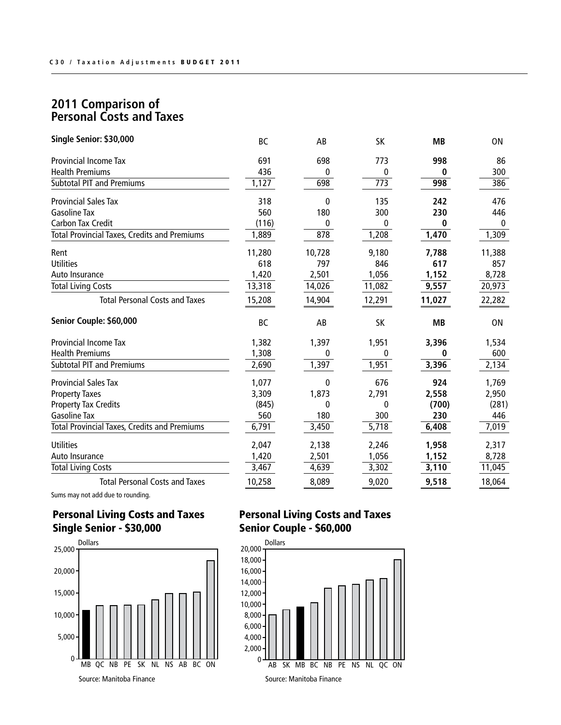| Single Senior: \$30,000                             | <b>BC</b> | AB     | SK               | <b>MB</b> | ON        |
|-----------------------------------------------------|-----------|--------|------------------|-----------|-----------|
| <b>Provincial Income Tax</b>                        | 691       | 698    | 773              | 998       | 86        |
| <b>Health Premiums</b>                              | 436       | 0      | 0                | 0         | 300       |
| <b>Subtotal PIT and Premiums</b>                    | 1,127     | 698    | $\overline{773}$ | 998       | 386       |
| <b>Provincial Sales Tax</b>                         | 318       | 0      | 135              | 242       | 476       |
| <b>Gasoline Tax</b>                                 | 560       | 180    | 300              | 230       | 446       |
| <b>Carbon Tax Credit</b>                            | (116)     | 0      | 0                | 0         | 0         |
| <b>Total Provincial Taxes, Credits and Premiums</b> | 1,889     | 878    | 1,208            | 1,470     | 1,309     |
| Rent                                                | 11,280    | 10,728 | 9,180            | 7,788     | 11,388    |
| <b>Utilities</b>                                    | 618       | 797    | 846              | 617       | 857       |
| Auto Insurance                                      | 1,420     | 2,501  | 1,056            | 1,152     | 8,728     |
| <b>Total Living Costs</b>                           | 13,318    | 14,026 | 11,082           | 9,557     | 20,973    |
| <b>Total Personal Costs and Taxes</b>               | 15,208    | 14,904 | 12,291           | 11,027    | 22,282    |
| Senior Couple: \$60,000                             | <b>BC</b> | AB     | SK               | <b>MB</b> | <b>ON</b> |
| <b>Provincial Income Tax</b>                        | 1,382     | 1,397  | 1,951            | 3,396     | 1,534     |
| <b>Health Premiums</b>                              | 1,308     | 0      | 0                | 0         | 600       |
| <b>Subtotal PIT and Premiums</b>                    | 2,690     | 1,397  | 1,951            | 3,396     | 2,134     |
| <b>Provincial Sales Tax</b>                         | 1,077     | 0      | 676              | 924       | 1,769     |
| <b>Property Taxes</b>                               | 3,309     | 1,873  | 2,791            | 2,558     | 2,950     |
| <b>Property Tax Credits</b>                         | (845)     | 0      | 0                | (700)     | (281)     |
| <b>Gasoline Tax</b>                                 | 560       | 180    | 300              | 230       | 446       |
| <b>Total Provincial Taxes, Credits and Premiums</b> | 6,791     | 3,450  | 5,718            | 6,408     | 7,019     |
| <b>Utilities</b>                                    | 2,047     | 2,138  | 2,246            | 1,958     | 2,317     |
| Auto Insurance                                      | 1,420     | 2,501  | 1,056            | 1,152     | 8,728     |
| <b>Total Living Costs</b>                           | 3,467     | 4,639  | 3,302            | 3,110     | 11,045    |
| <b>Total Personal Costs and Taxes</b>               | 10,258    | 8,089  | 9,020            | 9,518     | 18,064    |

Sums may not add due to rounding.

## Personal Living Costs and Taxes Single Senior - \$30,000



## Personal Living Costs and Taxes Senior Couple - \$60,000

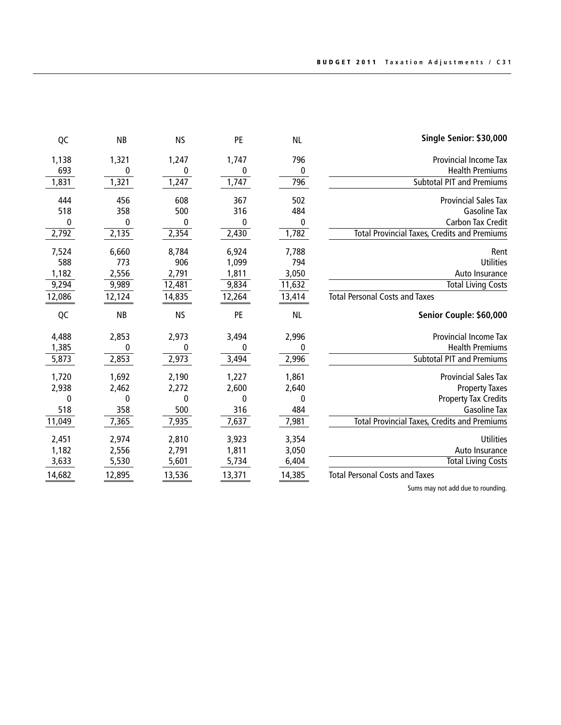| QC     | <b>NB</b> | <b>NS</b> | PE     | <b>NL</b> | Single Senior: \$30,000                             |
|--------|-----------|-----------|--------|-----------|-----------------------------------------------------|
| 1,138  | 1,321     | 1,247     | 1,747  | 796       | <b>Provincial Income Tax</b>                        |
| 693    | 0         | 0         | 0      | 0         | <b>Health Premiums</b>                              |
| 1,831  | 1,321     | 1,247     | 1,747  | 796       | <b>Subtotal PIT and Premiums</b>                    |
| 444    | 456       | 608       | 367    | 502       | <b>Provincial Sales Tax</b>                         |
| 518    | 358       | 500       | 316    | 484       | <b>Gasoline Tax</b>                                 |
| 0      | 0         | 0         | 0      | 0         | <b>Carbon Tax Credit</b>                            |
| 2,792  | 2,135     | 2,354     | 2,430  | 1,782     | <b>Total Provincial Taxes, Credits and Premiums</b> |
| 7,524  | 6,660     | 8,784     | 6,924  | 7,788     | Rent                                                |
| 588    | 773       | 906       | 1,099  | 794       | <b>Utilities</b>                                    |
| 1,182  | 2,556     | 2,791     | 1,811  | 3,050     | Auto Insurance                                      |
| 9,294  | 9,989     | 12,481    | 9,834  | 11,632    | <b>Total Living Costs</b>                           |
| 12,086 | 12,124    | 14,835    | 12,264 | 13,414    | <b>Total Personal Costs and Taxes</b>               |
|        |           |           |        |           |                                                     |
| QC     | <b>NB</b> | <b>NS</b> | PE     | <b>NL</b> | Senior Couple: \$60,000                             |
| 4,488  | 2,853     | 2,973     | 3,494  | 2,996     | <b>Provincial Income Tax</b>                        |
| 1,385  | 0         | 0         | 0      | 0         | <b>Health Premiums</b>                              |
| 5,873  | 2,853     | 2,973     | 3,494  | 2,996     | <b>Subtotal PIT and Premiums</b>                    |
| 1,720  | 1,692     | 2,190     | 1,227  | 1,861     | <b>Provincial Sales Tax</b>                         |
| 2,938  | 2,462     | 2,272     | 2,600  | 2,640     | <b>Property Taxes</b>                               |
| 0      | 0         | 0         | 0      | 0         | <b>Property Tax Credits</b>                         |
| 518    | 358       | 500       | 316    | 484       | <b>Gasoline Tax</b>                                 |
| 11,049 | 7,365     | 7,935     | 7,637  | 7,981     | <b>Total Provincial Taxes, Credits and Premiums</b> |
| 2,451  | 2,974     | 2,810     | 3,923  | 3,354     | Utilities                                           |
| 1,182  | 2,556     | 2,791     | 1,811  | 3,050     | Auto Insurance                                      |
| 3,633  | 5,530     | 5,601     | 5,734  | 6,404     | <b>Total Living Costs</b>                           |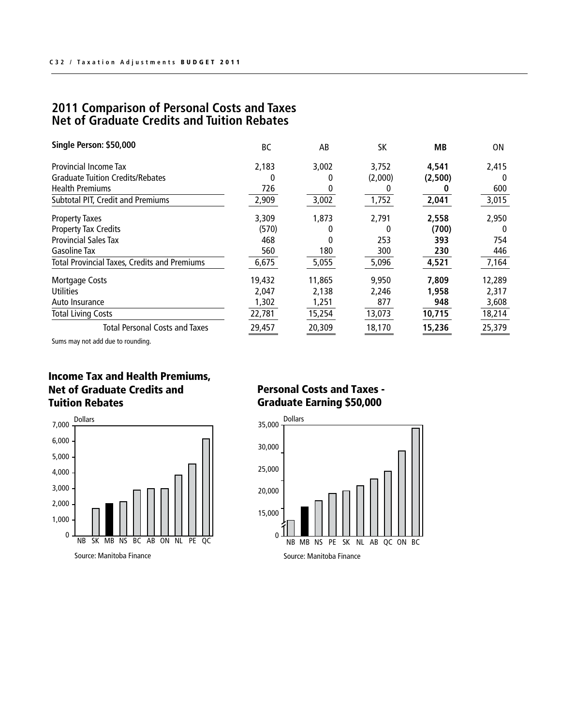## **2011 Comparison of Personal Costs and Taxes Net of Graduate Credits and Tuition Rebates**

| Single Person: \$50,000                             | BC     | AB     | SK      | МB      | 0N       |
|-----------------------------------------------------|--------|--------|---------|---------|----------|
| Provincial Income Tax                               | 2,183  | 3,002  | 3,752   | 4,541   | 2,415    |
| <b>Graduate Tuition Credits/Rebates</b>             | 0      | 0      | (2,000) | (2,500) | $\Omega$ |
| <b>Health Premiums</b>                              | 726    |        |         |         | 600      |
| <b>Subtotal PIT, Credit and Premiums</b>            | 2,909  | 3,002  | 1,752   | 2,041   | 3,015    |
| <b>Property Taxes</b>                               | 3,309  | 1,873  | 2,791   | 2,558   | 2,950    |
| <b>Property Tax Credits</b>                         | (570)  |        |         | (700)   | $\Omega$ |
| <b>Provincial Sales Tax</b>                         | 468    |        | 253     | 393     | 754      |
| <b>Gasoline Tax</b>                                 | 560    | 180    | 300     | 230     | 446      |
| <b>Total Provincial Taxes, Credits and Premiums</b> | 6,675  | 5,055  | 5,096   | 4,521   | 7,164    |
| Mortgage Costs                                      | 19,432 | 11,865 | 9,950   | 7,809   | 12,289   |
| <b>Utilities</b>                                    | 2,047  | 2,138  | 2,246   | 1,958   | 2,317    |
| Auto Insurance                                      | 1,302  | 1,251  | 877     | 948     | 3,608    |
| <b>Total Living Costs</b>                           | 22,781 | 15,254 | 13,073  | 10,715  | 18,214   |
| <b>Total Personal Costs and Taxes</b>               | 29,457 | 20,309 | 18,170  | 15,236  | 25,379   |

Sums may not add due to rounding.

#### Income Tax and Health Premiums, Net of Graduate Credits and Tuition Rebates



Source: Manitoba Finance

## Personal Costs and Taxes - Graduate Earning \$50,000

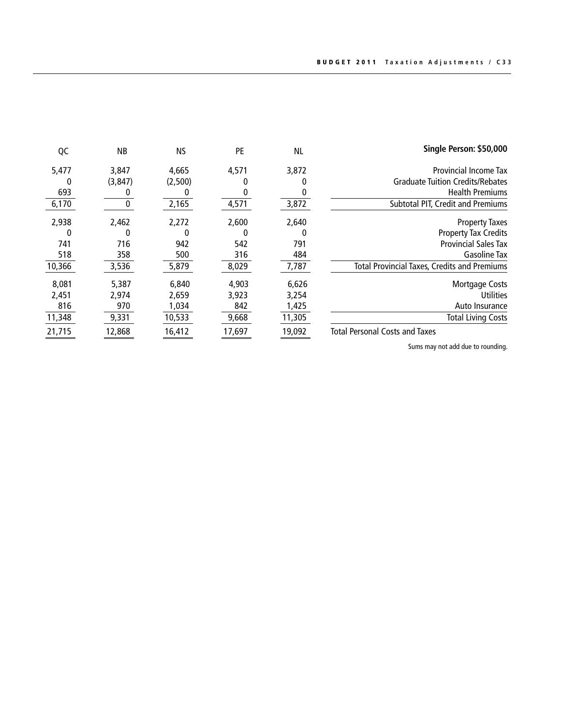| Single Person: \$50,000                             | <b>NL</b> | PE     | <b>NS</b> | <b>NB</b> | QC     |
|-----------------------------------------------------|-----------|--------|-----------|-----------|--------|
| <b>Provincial Income Tax</b>                        | 3,872     | 4,571  | 4,665     | 3,847     | 5,477  |
| <b>Graduate Tuition Credits/Rebates</b>             |           |        | (2,500)   | (3, 847)  | 0      |
| <b>Health Premiums</b>                              |           |        |           |           | 693    |
| <b>Subtotal PIT, Credit and Premiums</b>            | 3,872     | 4,571  | 2,165     |           | 6,170  |
| <b>Property Taxes</b>                               | 2,640     | 2,600  | 2,272     | 2,462     | 2,938  |
| <b>Property Tax Credits</b>                         |           | 0      |           |           | 0      |
| <b>Provincial Sales Tax</b>                         | 791       | 542    | 942       | 716       | 741    |
| <b>Gasoline Tax</b>                                 | 484       | 316    | 500       | 358       | 518    |
| <b>Total Provincial Taxes, Credits and Premiums</b> | 7,787     | 8,029  | 5,879     | 3,536     | 10,366 |
| Mortgage Costs                                      | 6,626     | 4,903  | 6,840     | 5,387     | 8,081  |
| <b>Utilities</b>                                    | 3,254     | 3,923  | 2,659     | 2,974     | 2,451  |
| Auto Insurance                                      | 1,425     | 842    | 1,034     | 970       | 816    |
| <b>Total Living Costs</b>                           | 11,305    | 9,668  | 10,533    | 9,331     | 11,348 |
| <b>Total Personal Costs and Taxes</b>               | 19,092    | 17,697 | 16,412    | 12,868    | 21,715 |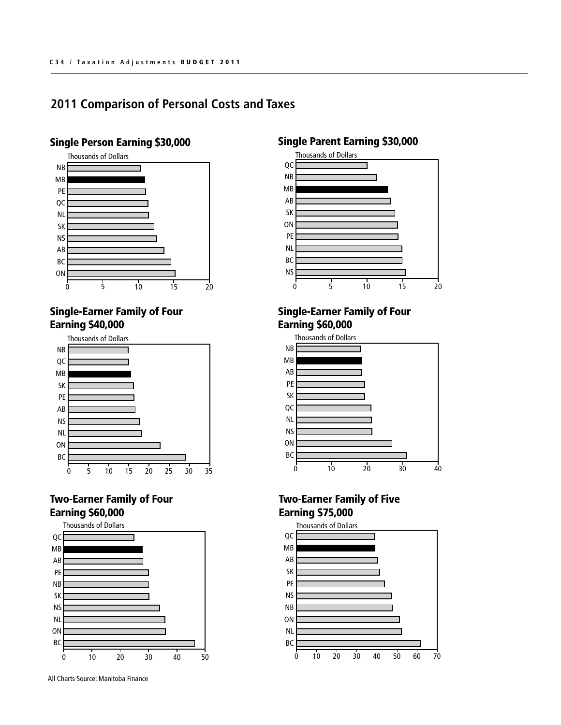## Single Person Earning \$30,000



#### Single-Earner F amily of Four Earning \$40,000



### Two-Earner Family of Four Earning \$60,000



All Charts Source: Manitoba Finance

### Single Parent Earning \$30,000



#### Single-Earner F amily of Four Earning \$60,000



## Two-Earner Family of Five Earning \$75,000

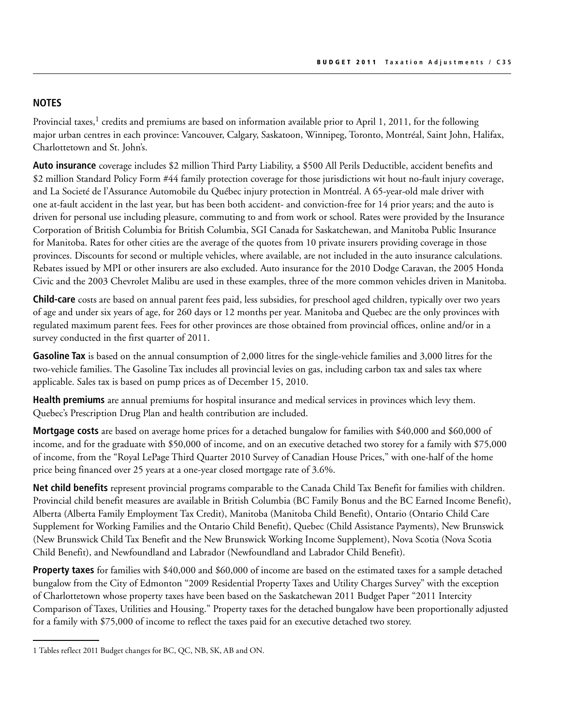#### **NOTES**

Provincial taxes,<sup>1</sup> credits and premiums are based on information available prior to April 1, 2011, for the following major urban centres in each province: Vancouver, Calgary, Saskatoon, Winnipeg, Toronto, Montréal, Saint John, Halifax, Charlottetown and St. John's.

**Auto insurance** coverage includes \$2 million Third Party Liability, a \$500 All Perils Deductible, accident benefits and \$2 million Standard Policy Form #44 family protection coverage for those jurisdictions wit hout no-fault injury coverage, and La Societé de l'Assurance Automobile du Québec injury protection in Montréal. A 65-year-old male driver with one at-fault accident in the last year, but has been both accident- and conviction-free for 14 prior years; and the auto is driven for personal use including pleasure, commuting to and from work or school. Rates were provided by the Insurance Corporation of British Columbia for British Columbia, SGI Canada for Saskatchewan, and Manitoba Public Insurance for Manitoba. Rates for other cities are the average of the quotes from 10 private insurers providing coverage in those provinces. Discounts for second or multiple vehicles, where available, are not included in the auto insurance calculations. Rebates issued by MPI or other insurers are also excluded. Auto insurance for the 2010 Dodge Caravan, the 2005 Honda Civic and the 2003 Chevrolet Malibu are used in these examples, three of the more common vehicles driven in Manitoba.

**Child-care** costs are based on annual parent fees paid, less subsidies, for preschool aged children, typically over two years of age and under six years of age, for 260 days or 12 months per year. Manitoba and Quebec are the only provinces with regulated maximum parent fees. Fees for other provinces are those obtained from provincial offices, online and/or in a survey conducted in the first quarter of 2011.

**Gasoline Tax** is based on the annual consumption of 2,000 litres for the single-vehicle families and 3,000 litres for the two-vehicle families. The Gasoline Tax includes all provincial levies on gas, including carbon tax and sales tax where applicable. Sales tax is based on pump prices as of December 15, 2010.

**Health premiums** are annual premiums for hospital insurance and medical services in provinces which levy them. Quebec's Prescription Drug Plan and health contribution are included.

**Mortgage costs** are based on average home prices for a detached bungalow for families with \$40,000 and \$60,000 of income, and for the graduate with \$50,000 of income, and on an executive detached two storey for a family with \$75,000 of income, from the "Royal LePage Third Quarter 2010 Survey of Canadian House Prices," with one-half of the home price being financed over 25 years at a one-year closed mortgage rate of 3.6%.

**Net child benefits** represent provincial programs comparable to the Canada Child Tax Benefit for families with children. Provincial child benefit measures are available in British Columbia (BC Family Bonus and the BC Earned Income Benefit), Alberta (Alberta Family Employment Tax Credit), Manitoba (Manitoba Child Benefit), Ontario (Ontario Child Care Supplement for Working Families and the Ontario Child Benefit), Quebec (Child Assistance Payments), New Brunswick (New Brunswick Child Tax Benefit and the New Brunswick Working Income Supplement), Nova Scotia (Nova Scotia Child Benefit), and Newfoundland and Labrador (Newfoundland and Labrador Child Benefit).

**Property taxes** for families with \$40,000 and \$60,000 of income are based on the estimated taxes for a sample detached bungalow from the City of Edmonton "2009 Residential Property Taxes and Utility Charges Survey" with the exception of Charlottetown whose property taxes have been based on the Saskatchewan 2011 Budget Paper "2011 Intercity Comparison of Taxes, Utilities and Housing." Property taxes for the detached bungalow have been proportionally adjusted for a family with \$75,000 of income to reflect the taxes paid for an executive detached two storey.

<sup>1</sup> Tables reflect 2011 Budget changes for BC, QC, NB, SK, AB and ON.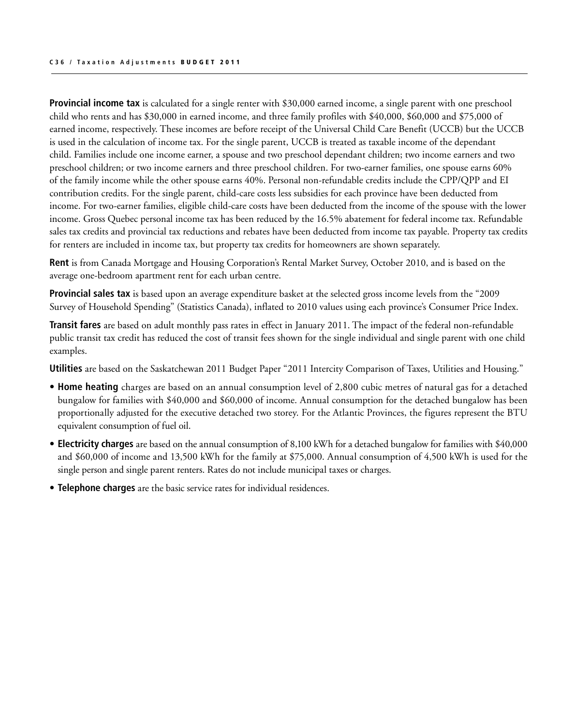**Provincial income tax** is calculated for a single renter with \$30,000 earned income, a single parent with one preschool child who rents and has \$30,000 in earned income, and three family profiles with \$40,000, \$60,000 and \$75,000 of earned income, respectively. These incomes are before receipt of the Universal Child Care Benefit (UCCB) but the UCCB is used in the calculation of income tax. For the single parent, UCCB is treated as taxable income of the dependant child. Families include one income earner, a spouse and two preschool dependant children; two income earners and two preschool children; or two income earners and three preschool children. For two-earner families, one spouse earns 60% of the family income while the other spouse earns 40%. Personal non-refundable credits include the CPP/QPP and EI contribution credits. For the single parent, child-care costs less subsidies for each province have been deducted from income. For two-earner families, eligible child-care costs have been deducted from the income of the spouse with the lower income. Gross Quebec personal income tax has been reduced by the 16.5% abatement for federal income tax. Refundable sales tax credits and provincial tax reductions and rebates have been deducted from income tax payable. Property tax credits for renters are included in income tax, but property tax credits for homeowners are shown separately.

**Rent** is from Canada Mortgage and Housing Corporation's Rental Market Survey, October 2010, and is based on the average one-bedroom apartment rent for each urban centre.

**Provincial sales tax** is based upon an average expenditure basket at the selected gross income levels from the "2009 Survey of Household Spending" (Statistics Canada), inflated to 2010 values using each province's Consumer Price Index.

**Transit fares** are based on adult monthly pass rates in effect in January 2011. The impact of the federal non-refundable public transit tax credit has reduced the cost of transit fees shown for the single individual and single parent with one child examples.

**Utilities** are based on the Saskatchewan 2011 Budget Paper "2011 Intercity Comparison of Taxes, Utilities and Housing."

- **• Home heating** charges are based on an annual consumption level of 2,800 cubic metres of natural gas for a detached bungalow for families with \$40,000 and \$60,000 of income. Annual consumption for the detached bungalow has been proportionally adjusted for the executive detached two storey. For the Atlantic Provinces, the figures represent the BTU equivalent consumption of fuel oil.
- **• Electricity charges** are based on the annual consumption of 8,100 kWh for a detached bungalow for families with \$40,000 and \$60,000 of income and 13,500 kWh for the family at \$75,000. Annual consumption of 4,500 kWh is used for the single person and single parent renters. Rates do not include municipal taxes or charges.
- **Telephone charges** are the basic service rates for individual residences.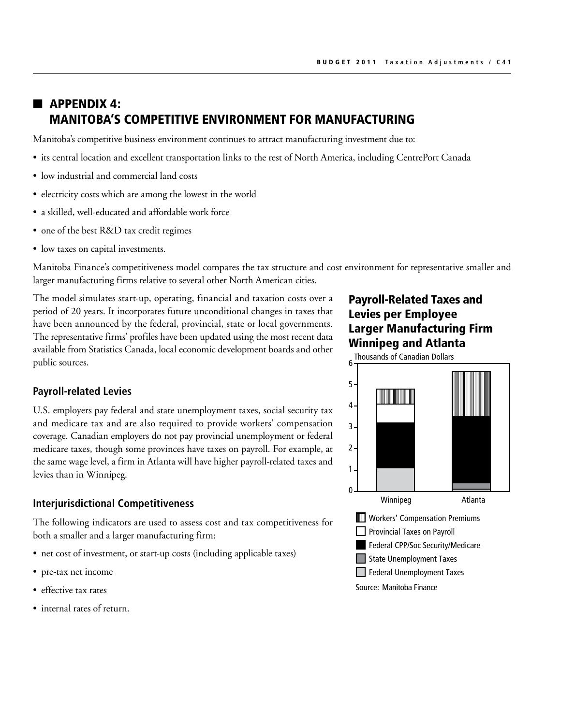## $\blacksquare$  APPENDIX 4: MANITOBA'S COMPETITIVE ENVIRONMENT FOR MANUFACTURING

Manitoba's competitive business environment continues to attract manufacturing investment due to:

- • its central location and excellent transportation links to the rest of North America, including CentrePort Canada
- low industrial and commercial land costs
- electricity costs which are among the lowest in the world
- a skilled, well-educated and affordable work force
- one of the best R&D tax credit regimes
- low taxes on capital investments.

Manitoba Finance's competitiveness model compares the tax structure and cost environment for representative smaller and larger manufacturing firms relative to several other North American cities.

The model simulates start-up, operating, financial and taxation costs over a period of 20 years. It incorporates future unconditional changes in taxes that have been announced by the federal, provincial, state or local governments. The representative firms' profiles have been updated using the most recent data available from Statistics Canada, local economic development boards and other public sources.

## Payroll-Related Taxes and Levies per Employee Larger Manufacturing Firm Winnipeg and Atlanta

# **Payroll-related Levies**

U.S. employers pay federal and state unemployment taxes, social security tax and medicare tax and are also required to provide workers' compensation coverage. Canadian employers do not pay provincial unemployment or federal medicare taxes, though some provinces have taxes on payroll. For example, at the same wage level, a firm in Atlanta will have higher payroll-related taxes and levies than in Winnipeg.

#### **Interjurisdictional Competitiveness**

The following indicators are used to assess cost and tax competitiveness for both a smaller and a larger manufacturing firm:

- net cost of investment, or start-up costs (including applicable taxes)
- pre-tax net income
- effective tax rates
- internal rates of return.

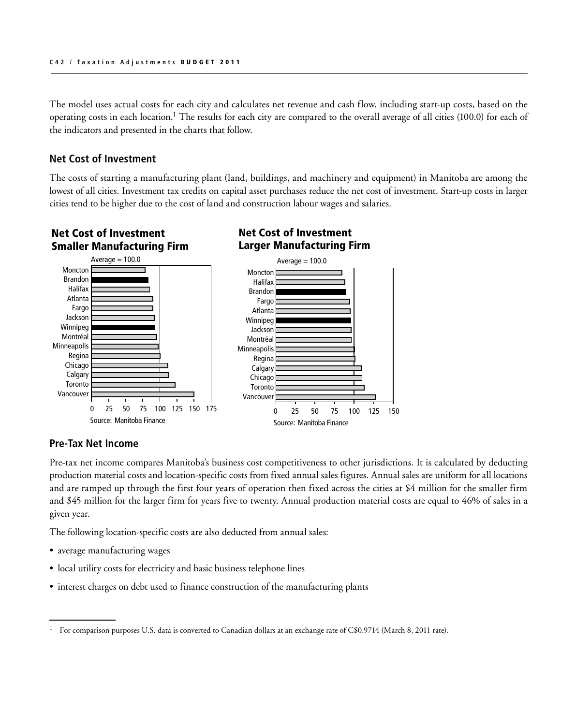The model uses actual costs for each city and calculates net revenue and cash flow, including start-up costs, based on the operating costs in each location.1 The results for each city are compared to the overall average of all cities (100.0) for each of the indicators and presented in the charts that follow.

#### **Net Cost of Investment**

The costs of starting a manufacturing plant (land, buildings, and machinery and equipment) in Manitoba are among the lowest of all cities. Investment tax credits on capital asset purchases reduce the net cost of investment. Start-up costs in larger cities tend to be higher due to the cost of land and construction labour wages and salaries.

#### Net Cost of Investment Smaller Manufacturing Firm Average  $= 100.0$ Atlanta Jackson Winnipeg Fargo Halifax Brandon Moncton Atlanta Fargo Brandon Halifax **Monctor**

0 25 50 75 100 125 150 175

Source: Manitoba Finance

#### Net Cost of Investment Larger Manufacturing Firm



#### **Pre-Tax Net Income**

Vancouver

**Calgary Toronto** 

Chicago

Regina **Minneapolis** 

Montréal

Pre-tax net income compares Manitoba's business cost competitiveness to other jurisdictions. It is calculated by deducting production material costs and location-specific costs from fixed annual sales figures. Annual sales are uniform for all locations and are ramped up through the first four years of operation then fixed across the cities at \$4 million for the smaller firm and \$45 million for the larger firm for years five to twenty. Annual production material costs are equal to 46% of sales in a given year. Timual product

The following location-specific costs are also deducted from annual sales: anni

- average manufacturing wages
- local utility costs for electricity and basic business telephone lines
- interest charges on debt used to finance construction of the manufacturing plants

<sup>&</sup>lt;sup>1</sup> For comparison purposes U.S. data is converted to Canadian dollars at an exchange rate of C\$0.9714 (March 8, 2011 rate).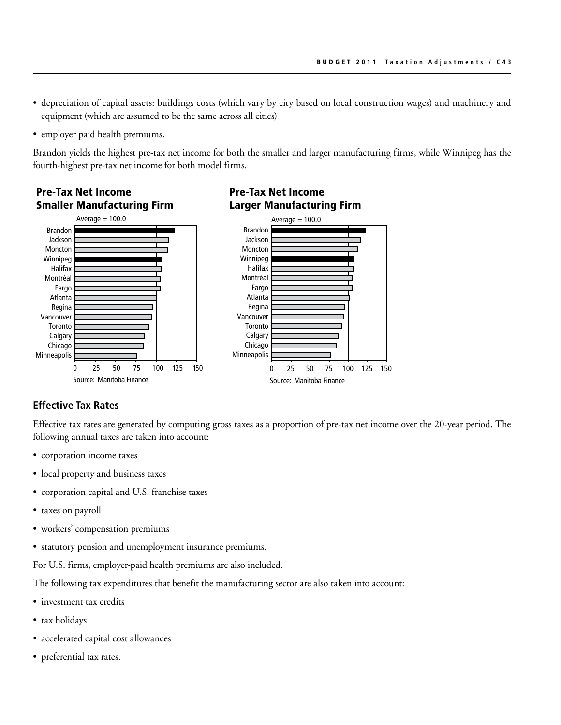- • depreciation of capital assets: buildings costs (which vary by city based on local construction wages) and machinery and equipment (which are assumed to be the same across all cities)
- employer paid health premiums.

Pre-Tax Net Income

Brandon yields the highest pre-tax net income for both the smaller and larger manufacturing firms, while Winnipeg has the fourth-highest pre-tax net income for both model firms.



#### Pre-Tax Net Income Larger Manufacturing Firm

#### **Effective Tax Rates**

Effective tax rates are generated by computing gross taxes as a proportion of pre-tax net income over the 20-year period. The following annual taxes are taken into account:

- corporation income taxes
- local property and business taxes
- corporation capital and U.S. franchise taxes
- taxes on payroll
- • workers' compensation premiums
- statutory pension and unemployment insurance premiums.

For U.S. firms, employer-paid health premiums are also included.

The following tax expenditures that benefit the manufacturing sector are also taken into account:

- investment tax credits
- tax holidays
- • accelerated capital cost allowances
- preferential tax rates.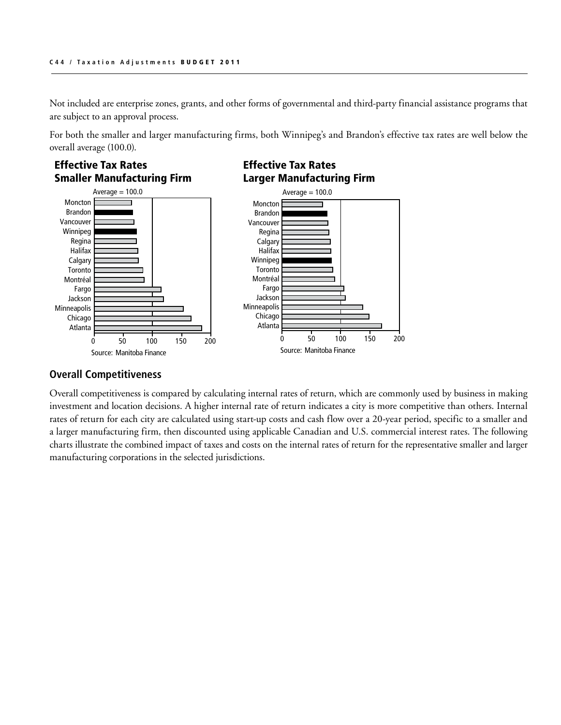Not included are enterprise zones, grants, and other forms of governmental and third-party financial assistance programs that are subject to an approval process.

For both the smaller and larger manufacturing firms, both Winnipeg's and Brandon's effective tax rates are well below the overall average (100.0).



#### **Overall Competitiveness**

Overall competitiveness is compared by calculating internal rates of return, which are commonly used by business in making investment and location decisions. A higher internal rate of return indicates a city is more competitive than others. Internal rates of return for each city are calculated using start-up costs and cash flow over a 20-year period, specific to a smaller and a larger manufacturing firm, then discounted using applicable Canadian and U.S. commercial interest rates. The following charts illustrate the combined impact of taxes and costs on the internal rates of return for the representative smaller and larger manufacturing corporations in the selected jurisdictions.  $\frac{1}{2}$